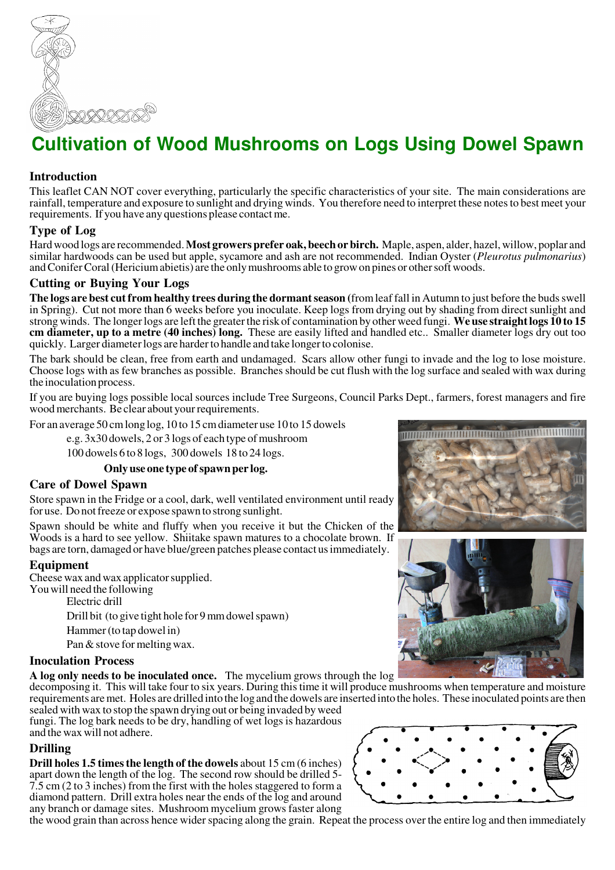

# **Cultivation of Wood Mushrooms on Logs Using Dowel Spawn**

# **Introduction**

This leaflet CAN NOT cover everything, particularly the specific characteristics of your site. The main considerations are rainfall, temperature and exposure to sunlight and drying winds. You therefore need to interpret these notes to best meet your requirements. If you have any questions please contact me.

#### **Type of Log**

Hard wood logs are recommended. **Most growers prefer oak, beech or birch.** Maple, aspen, alder, hazel, willow, poplar and similar hardwoods can be used but apple, sycamore and ash are not recommended. Indian Oyster (*Pleurotus pulmonarius*) and Conifer Coral (Hericiumabietis) are the only mushrooms able to grow on pines or other soft woods.

# **Cutting or Buying Your Logs**

**The logs are best cut from healthy trees during the dormant season (**from leaf fall in Autumn to just before the buds swell in Spring). Cut not more than 6 weeks before you inoculate. Keep logs from drying out by shading from direct sunlight and strong winds. The longer logs are left the greater the risk of contamination by other weed fungi. **We use straight logs 10 to 15 cm diameter, up to a metre (40 inches) long.** These are easily lifted and handled etc.. Smaller diameter logs dry out too quickly. Larger diameter logs are harder to handle and take longer to colonise.

The bark should be clean, free from earth and undamaged. Scars allow other fungi to invade and the log to lose moisture. Choose logs with as few branches as possible. Branches should be cut flush with the log surface and sealed with wax during the inoculation process.

If you are buying logs possible local sources include Tree Surgeons, Council Parks Dept., farmers, forest managers and fire wood merchants. Be clear about your requirements.

For an average 50 cm long log, 10 to 15 cm diameter use 10 to 15 dowels

e.g. 3x30 dowels, 2 or 3 logs of each type of mushroom

100 dowels 6 to 8 logs, 300 dowels 18 to 24 logs.

#### **Only use one type of spawn per log.**

#### **Care of Dowel Spawn**

Store spawn in the Fridge or a cool, dark, well ventilated environment until ready for use. Do not freeze or expose spawn to strong sunlight.

Spawn should be white and fluffy when you receive it but the Chicken of the Woods is a hard to see yellow. Shiitake spawn matures to a chocolate brown. If bags are torn, damaged or have blue/green patches please contact us immediately.

#### **Equipment**

Cheese wax and wax applicator supplied. You will need the following Electric drill

> Drill bit (to give tight hole for 9 mm dowel spawn) Hammer (to tap dowel in)

Pan & stove for melting wax.

# **Inoculation Process**

**A log only needs to be inoculated once.** The mycelium grows through the log

decomposing it. This will take four to six years. During this time it will produce mushrooms when temperature and moisture requirements are met. Holes are drilled into the log and the dowels are inserted into the holes. These inoculated points are then

sealed with wax to stop the spawn drying out or being invaded by weed fungi. The log bark needs to be dry, handling of wet logs is hazardous and the wax will not adhere.

# **Drilling**

**Drill holes 1.5 times the length of the dowels** about 15 cm (6 inches) apart down the length of the log. The second row should be drilled 5- 7.5 cm (2 to 3 inches) from the first with the holes staggered to form a diamond pattern. Drill extra holes near the ends of the log and around any branch or damage sites. Mushroom mycelium grows faster along

the wood grain than across hence wider spacing along the grain. Repeat the process over the entire log and then immediately